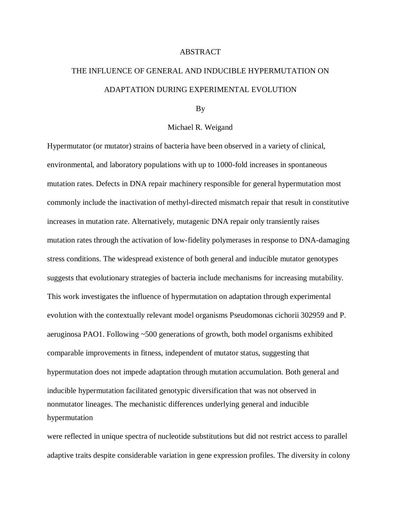## ABSTRACT

## THE INFLUENCE OF GENERAL AND INDUCIBLE HYPERMUTATION ON ADAPTATION DURING EXPERIMENTAL EVOLUTION

## By

## Michael R. Weigand

Hypermutator (or mutator) strains of bacteria have been observed in a variety of clinical, environmental, and laboratory populations with up to 1000-fold increases in spontaneous mutation rates. Defects in DNA repair machinery responsible for general hypermutation most commonly include the inactivation of methyl-directed mismatch repair that result in constitutive increases in mutation rate. Alternatively, mutagenic DNA repair only transiently raises mutation rates through the activation of low-fidelity polymerases in response to DNA-damaging stress conditions. The widespread existence of both general and inducible mutator genotypes suggests that evolutionary strategies of bacteria include mechanisms for increasing mutability. This work investigates the influence of hypermutation on adaptation through experimental evolution with the contextually relevant model organisms Pseudomonas cichorii 302959 and P. aeruginosa PAO1. Following ~500 generations of growth, both model organisms exhibited comparable improvements in fitness, independent of mutator status, suggesting that hypermutation does not impede adaptation through mutation accumulation. Both general and inducible hypermutation facilitated genotypic diversification that was not observed in nonmutator lineages. The mechanistic differences underlying general and inducible hypermutation

were reflected in unique spectra of nucleotide substitutions but did not restrict access to parallel adaptive traits despite considerable variation in gene expression profiles. The diversity in colony